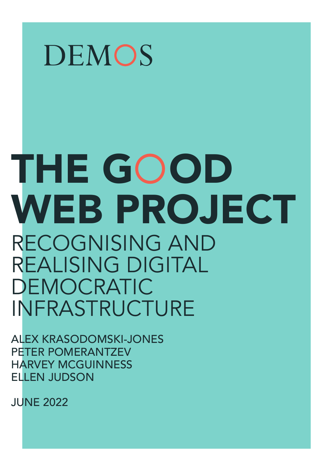## DEMOS

### THE GOOD WEB PROJECT RECOGNISING AND REALISING DIGITAL DEMOCRATIC INFRASTRUCTURE

ALEX KRASODOMSKI-JONES PETER POMERANTZEV HARVEY MCGUINNESS ELLEN JUDSON

JUNE 2022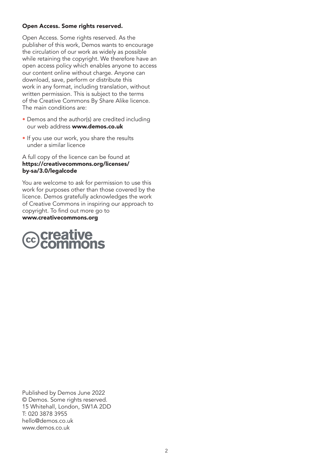### Open Access. Some rights reserved.

Open Access. Some rights reserved. As the publisher of this work, Demos wants to encourage the circulation of our work as widely as possible while retaining the copyright. We therefore have an open access policy which enables anyone to access our content online without charge. Anyone can download, save, perform or distribute this work in any format, including translation, without written permission. This is subject to the terms of the Creative Commons By Share Alike licence. The main conditions are:

- Demos and the author(s) are credited including our web address [www.demos.co.uk](http://www.demos.co.uk)
- If you use our work, you share the results under a similar licence

### A full copy of the licence can be found at [https://creativecommons.org/licenses/](https://creativecommons.org/licenses/by-sa/3.0/legalcode) [by-sa/3.0/legalcode](https://creativecommons.org/licenses/by-sa/3.0/legalcode)

You are welcome to ask for permission to use this work for purposes other than those covered by the licence. Demos gratefully acknowledges the work of Creative Commons in inspiring our approach to copyright. To find out more go to [www.creativecommons.org](http://www.creativecommons.org)



Published by Demos June 2022 © Demos. Some rights reserved. 15 Whitehall, London, SW1A 2DD T: 020 3878 3955 [hello@demos.co.uk](mailto:hello@demos.co.uk) [www.demos.co.uk](http://www.demos.co.uk)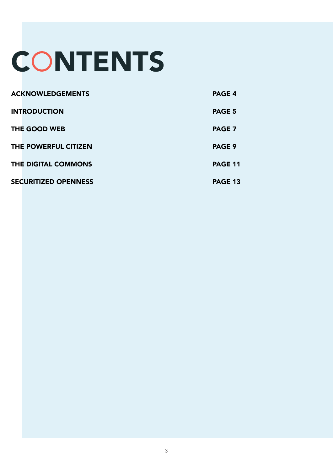# **CONTENTS**

| <b>ACKNOWLEDGEMENTS</b>     | <b>PAGE 4</b>  |
|-----------------------------|----------------|
| <b>INTRODUCTION</b>         | <b>PAGE 5</b>  |
| THE GOOD WEB                | <b>PAGE 7</b>  |
| <b>THE POWERFUL CITIZEN</b> | <b>PAGE 9</b>  |
| <b>THE DIGITAL COMMONS</b>  | <b>PAGE 11</b> |
| <b>SECURITIZED OPENNESS</b> | PAGE 13        |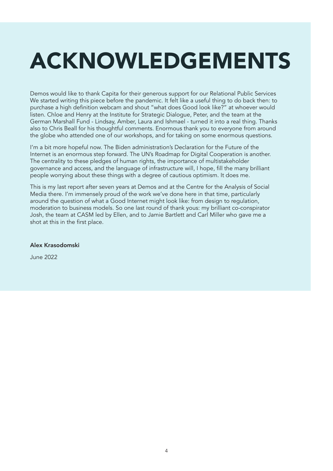### <span id="page-3-0"></span>ACKNOWLEDGEMENTS

Demos would like to thank Capita for their generous support for our Relational Public Services We started writing this piece before the pandemic. It felt like a useful thing to do back then: to purchase a high definition webcam and shout "what does Good look like?" at whoever would listen. Chloe and Henry at the Institute for Strategic Dialogue, Peter, and the team at the German Marshall Fund - Lindsay, Amber, Laura and Ishmael - turned it into a real thing. Thanks also to Chris Beall for his thoughtful comments. Enormous thank you to everyone from around the globe who attended one of our workshops, and for taking on some enormous questions.

I'm a bit more hopeful now. The Biden administration's Declaration for the Future of the Internet is an enormous step forward. The UN's Roadmap for Digital Cooperation is another. The centrality to these pledges of human rights, the importance of multistakeholder governance and access, and the language of infrastructure will, I hope, fill the many brilliant people worrying about these things with a degree of cautious optimism. It does me.

This is my last report after seven years at Demos and at the Centre for the Analysis of Social Media there. I'm immensely proud of the work we've done here in that time, particularly around the question of what a Good Internet might look like: from design to regulation, moderation to business models. So one last round of thank yous: my brilliant co-conspirator Josh, the team at CASM led by Ellen, and to Jamie Bartlett and Carl Miller who gave me a shot at this in the first place.

Alex Krasodomski

June 2022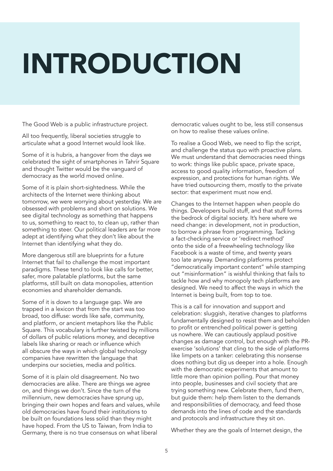# <span id="page-4-0"></span>INTRODUCTION

The Good Web is a public infrastructure project.

All too frequently, liberal societies struggle to articulate what a good Internet would look like.

Some of it is hubris, a hangover from the days we celebrated the sight of smartphones in Tahrir Square and thought Twitter would be the vanguard of democracy as the world moved online.

Some of it is plain short-sightedness. While the architects of the Internet were thinking about tomorrow, we were worrying about yesterday. We are obsessed with problems and short on solutions. We see digital technology as something that happens to us, something to react to, to clean up, rather than something to steer. Our political leaders are far more adept at identifying what they don't like about the Internet than identifying what they do.

More dangerous still are blueprints for a future Internet that fail to challenge the most important paradigms. These tend to look like calls for better, safer, more palatable platforms, but the same platforms, still built on data monopolies, attention economies and shareholder demands.

Some of it is down to a language gap. We are trapped in a lexicon that from the start was too broad, too diffuse: words like safe, community, and platform, or ancient metaphors like the Public Square. This vocabulary is further twisted by millions of dollars of public relations money, and deceptive labels like sharing or reach or influence which all obscure the ways in which global technology companies have rewritten the language that underpins our societies, media and politics.

Some of it is plain old disagreement. No two democracies are alike. There are things we agree on, and things we don't. Since the turn of the millennium, new democracies have sprung up, bringing their own hopes and fears and values, while old democracies have found their institutions to be built on foundations less solid than they might have hoped. From the US to Taiwan, from India to Germany, there is no true consensus on what liberal

democratic values ought to be, less still consensus on how to realise these values online.

To realise a Good Web, we need to flip the script, and challenge the status quo with proactive plans. We must understand that democracies need things to work: things like public space, private space, access to good quality information, freedom of expression, and protections for human rights. We have tried outsourcing them, mostly to the private sector: that experiment must now end.

Changes to the Internet happen when people do things. Developers build stuff, and that stuff forms the bedrock of digital society. It's here where we need change: in development, not in production, to borrow a phrase from programming. Tacking a fact-checking service or 'redirect method' onto the side of a freewheeling technology like Facebook is a waste of time, and twenty years too late anyway. Demanding platforms protect "democratically important content" while stamping out "misinformation" is wishful thinking that fails to tackle how and why monopoly tech platforms are designed. We need to affect the ways in which the Internet is being built, from top to toe.

This is a call for innovation and support and celebration: sluggish, iterative changes to platforms fundamentally designed to resist them and beholden to profit or entrenched political power is getting us nowhere. We can cautiously applaud positive changes as damage control, but enough with the PRexercise 'solutions' that cling to the side of platforms like limpets on a tanker: celebrating this nonsense does nothing but dig us deeper into a hole. Enough with the democratic experiments that amount to little more than opinion polling. Pour that money into people, businesses and civil society that are trying something new. Celebrate them, fund them, but guide them: help them listen to the demands and responsibilities of democracy, and feed those demands into the lines of code and the standards and protocols and infrastructure they sit on.

Whether they are the goals of Internet design, the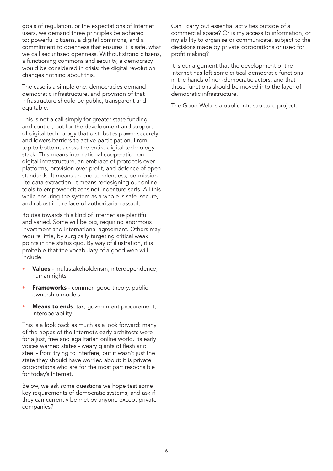goals of regulation, or the expectations of Internet users, we demand three principles be adhered to: powerful citizens, a digital commons, and a commitment to openness that ensures it is safe, what we call securitized openness. Without strong citizens, a functioning commons and security, a democracy would be considered in crisis: the digital revolution changes nothing about this.

The case is a simple one: democracies demand democratic infrastructure, and provision of that infrastructure should be public, transparent and equitable.

This is not a call simply for greater state funding and control, but for the development and support of digital technology that distributes power securely and lowers barriers to active participation. From top to bottom, across the entire digital technology stack. This means international cooperation on digital infrastructure, an embrace of protocols over platforms, provision over profit, and defence of open standards. It means an end to relentless, permissionlite data extraction. It means redesigning our online tools to empower citizens not indenture serfs. All this while ensuring the system as a whole is safe, secure, and robust in the face of authoritarian assault.

Routes towards this kind of Internet are plentiful and varied. Some will be big, requiring enormous investment and international agreement. Others may require little, by surgically targeting critical weak points in the status quo. By way of illustration, it is probable that the vocabulary of a good web will include:

- Values multistakeholderism, interdependence, human rights
- Frameworks common good theory, public ownership models
- Means to ends: tax, government procurement, interoperability

This is a look back as much as a look forward: many of the hopes of the Internet's early architects were for a just, free and egalitarian online world. Its early voices warned states - weary giants of flesh and steel - from trying to interfere, but it wasn't just the state they should have worried about: it is private corporations who are for the most part responsible for today's Internet.

Below, we ask some questions we hope test some key requirements of democratic systems, and ask if they can currently be met by anyone except private companies?

Can I carry out essential activities outside of a commercial space? Or is my access to information, or my ability to organise or communicate, subject to the decisions made by private corporations or used for profit making?

It is our argument that the development of the Internet has left some critical democratic functions in the hands of non-democratic actors, and that those functions should be moved into the layer of democratic infrastructure.

The Good Web is a public infrastructure project.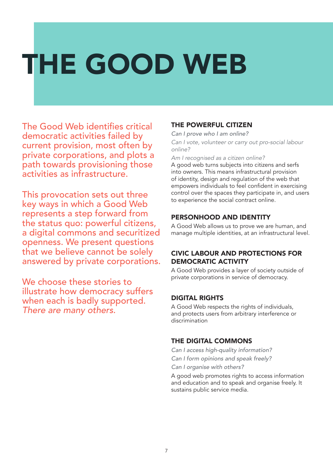# <span id="page-6-0"></span>THE GOOD WEB

The Good Web identifies critical democratic activities failed by current provision, most often by private corporations, and plots a path towards provisioning those activities as infrastructure.

This provocation sets out three key ways in which a Good Web represents a step forward from the status quo: powerful citizens, a digital commons and securitized openness. We present questions that we believe cannot be solely answered by private corporations.

We choose these stories to illustrate how democracy suffers when each is badly supported. *There are many others.*

### THE POWERFUL CITIZEN

*Can I prove who I am online? Can I vote, volunteer or carry out pro-social labour online?*

*Am I recognised as a citizen online?*

A good web turns subjects into citizens and serfs into owners. This means infrastructural provision of identity, design and regulation of the web that empowers individuals to feel confident in exercising control over the spaces they participate in, and users to experience the social contract online.

### PERSONHOOD AND IDENTITY

A Good Web allows us to prove we are human, and manage multiple identities, at an infrastructural level.

### CIVIC LABOUR AND PROTECTIONS FOR DEMOCRATIC ACTIVITY

A Good Web provides a layer of society outside of private corporations in service of democracy.

### DIGITAL RIGHTS

A Good Web respects the rights of individuals, and protects users from arbitrary interference or discrimination

### THE DIGITAL COMMONS

*Can I access high-quality information?*

*Can I form opinions and speak freely?*

*Can I organise with others?*

A good web promotes rights to access information and education and to speak and organise freely. It sustains public service media.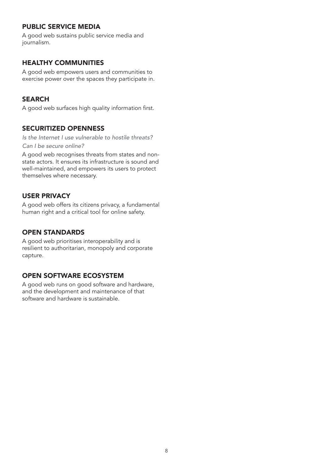### PUBLIC SERVICE MEDIA

A good web sustains public service media and journalism.

### HEALTHY COMMUNITIES

A good web empowers users and communities to exercise power over the spaces they participate in.

### **SEARCH**

A good web surfaces high quality information first.

### SECURITIZED OPENNESS

*Is the Internet I use vulnerable to hostile threats? Can I be secure online?*

A good web recognises threats from states and nonstate actors. It ensures its infrastructure is sound and well-maintained, and empowers its users to protect themselves where necessary.

### USER PRIVACY

A good web offers its citizens privacy, a fundamental human right and a critical tool for online safety.

### OPEN STANDARDS

A good web prioritises interoperability and is resilient to authoritarian, monopoly and corporate capture.

### OPEN SOFTWARE ECOSYSTEM

A good web runs on good software and hardware, and the development and maintenance of that software and hardware is sustainable.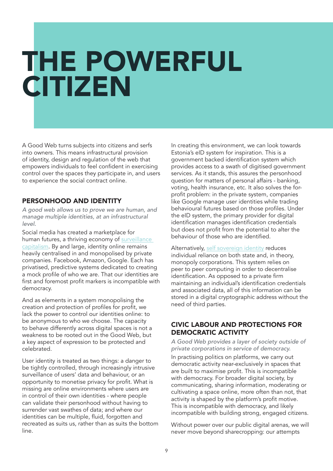### <span id="page-8-0"></span>THE POWERFUL **CITIZEN**

A Good Web turns subjects into citizens and serfs into owners. This means infrastructural provision of identity, design and regulation of the web that empowers individuals to feel confident in exercising control over the spaces they participate in, and users to experience the social contract online.

### PERSONHOOD AND IDENTITY

*A good web allows us to prove we are human, and manage multiple identities, at an infrastructural level.* 

Social media has created a marketplace for human futures, a thriving economy of surveillance [capitalism.](https://www.hbs.edu/faculty/Pages/item.aspx?num=56791) By and large, identity online remains heavily centralised in and monopolised by private companies. Facebook, Amazon, Google. Each has privatised, predictive systems dedicated to creating a mock profile of who we are. That our identities are first and foremost profit markers is incompatible with democracy.

And as elements in a system monopolising the creation and protection of profiles for profit, we lack the power to control our identities online: to be anonymous to who we choose. The capacity to behave differently across digital spaces is not a weakness to be rooted out in the Good Web, but a key aspect of expression to be protected and celebrated.

User identity is treated as two things: a danger to be tightly controlled, through increasingly intrusive surveillance of users' data and behaviour, or an opportunity to monetise privacy for profit. What is missing are online environments where users are in control of their own identities - where people can validate their personhood without having to surrender vast swathes of data; and where our identities can be multiple, fluid, forgotten and recreated as suits us, rather than as suits the bottom line.

In creating this environment, we can look towards Estonia's eID system for inspiration. This is a government backed identification system which provides access to a swath of digitised government services. As it stands, this assures the personhood question for matters of personal affairs - banking, voting, health insurance, etc. It also solves the forprofit problem: in the private system, companies like Google manage user identities while trading behavioural futures based on those profiles. Under the eID system, the primary provider for digital identification manages identification credentials but does not profit from the potential to alter the behaviour of those who are identified.

Alternatively, [self sovereign identity](https://sovrin.org/wp-content/uploads/2017/06/The-Inevitable-Rise-of-Self-Sovereign-Identity.pdf) reduces individual reliance on both state and, in theory, monopoly corporations. This system relies on peer to peer computing in order to decentralise identification. As opposed to a private firm maintaining an individual's identification credentials and associated data, all of this information can be stored in a digital cryptographic address without the need of third parties.

### CIVIC LABOUR AND PROTECTIONS FOR DEMOCRATIC ACTIVITY

*A Good Web provides a layer of society outside of private corporations in service of democracy.*

In practising politics on platforms, we carry out democratic activity near-exclusively in spaces that are built to maximise profit. This is incompatible with democracy. For broader digital society, by communicating, sharing information, moderating or cultivating a space online, more often than not, that activity is shaped by the platform's profit motive. This is incompatible with democracy, and likely incompatible with building strong, engaged citizens.

Without power over our public digital arenas, we will never move beyond sharecropping: our attempts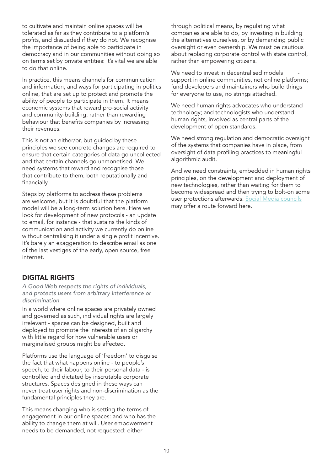to cultivate and maintain online spaces will be tolerated as far as they contribute to a platform's profits, and dissuaded if they do not. We recognise the importance of being able to participate in democracy and in our communities without doing so on terms set by private entities: it's vital we are able to do that online.

In practice, this means channels for communication and information, and ways for participating in politics online, that are set up to protect and promote the ability of people to participate in them. It means economic systems that reward pro-social activity and community-building, rather than rewarding behaviour that benefits companies by increasing their revenues.

This is not an either/or, but guided by these principles we see concrete changes are required to ensure that certain categories of data go uncollected and that certain channels go unmonetised. We need systems that reward and recognise those that contribute to them, both reputationally and financially.

Steps by platforms to address these problems are welcome, but it is doubtful that the platform model will be a long-term solution here. Here we look for development of new protocols - an update to email, for instance - that sustains the kinds of communication and activity we currently do online without centralising it under a single profit incentive. It's barely an exaggeration to describe email as one of the last vestiges of the early, open source, free internet.

### DIGITAL RIGHTS

*A Good Web respects the rights of individuals, and protects users from arbitrary interference or discrimination* 

In a world where online spaces are privately owned and governed as such, individual rights are largely irrelevant - spaces can be designed, built and deployed to promote the interests of an oligarchy with little regard for how vulnerable users or marginalised groups might be affected.

Platforms use the language of 'freedom' to disguise the fact that what happens online - to people's speech, to their labour, to their personal data - is controlled and dictated by inscrutable corporate structures. Spaces designed in these ways can never treat user rights and non-discrimination as the fundamental principles they are.

This means changing who is setting the terms of engagement in our online spaces: and who has the ability to change them at will. User empowerment needs to be demanded, not requested: either

through political means, by regulating what companies are able to do, by investing in building the alternatives ourselves, or by demanding public oversight or even ownership. We must be cautious about replacing corporate control with state control, rather than empowering citizens.

We need to invest in decentralised models support in online communities, not online platforms; fund developers and maintainers who build things for everyone to use, no strings attached.

We need human rights advocates who understand technology; and technologists who understand human rights, involved as central parts of the development of open standards.

We need strong regulation and democratic oversight of the systems that companies have in place, from oversight of data profiling practices to meaningful algorithmic audit.

And we need constraints, embedded in human rights principles, on the development and deployment of new technologies, rather than waiting for them to become widespread and then trying to bolt-on some user protections afterwards. [Social Media councils](https://www.cigionline.org/articles/social-media-councils/) may offer a route forward here.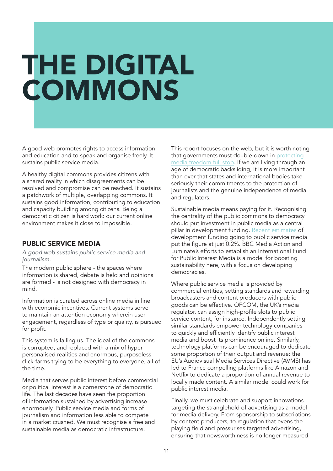### <span id="page-10-0"></span>THE DIGITAL COMMONS

A good web promotes rights to access information and education and to speak and organise freely. It sustains public service media.

A healthy digital commons provides citizens with a shared reality in which disagreements can be resolved and compromise can be reached. It sustains a patchwork of multiple, overlapping commons. It sustains good information, contributing to education and capacity building among citizens. Being a democratic citizen is hard work: our current online environment makes it close to impossible.

### PUBLIC SERVICE MEDIA

*A good web sustains public service media and journalism.*

The modern public sphere - the spaces where information is shared, debate is held and opinions are formed - is not designed with democracy in mind.

Information is curated across online media in line with economic incentives. Current systems serve to maintain an attention economy wherein user engagement, regardless of type or quality, is pursued for profit.

This system is failing us. The ideal of the commons is corrupted, and replaced with a mix of hyper personalised realities and enormous, purposeless click-farms trying to be everything to everyone, all of the time.

Media that serves public interest before commercial or political interest is a cornerstone of democratic life. The last decades have seen the proportion of information sustained by advertising increase enormously. Public service media and forms of journalism and information less able to compete in a market crushed. We must recognise a free and sustainable media as democratic infrastructure.

This report focuses on the web, but it is worth noting that governments must double-down in [protecting](https://reutersinstitute.politics.ox.ac.uk/sites/default/files/2019-11/What_Can_Be_Done_FINAL.pdf)  [media freedom full stop](https://reutersinstitute.politics.ox.ac.uk/sites/default/files/2019-11/What_Can_Be_Done_FINAL.pdf). If we are living through an age of democratic backsliding, it is more important than ever that states and international bodies take seriously their commitments to the protection of journalists and the genuine independence of media and regulators.

Sustainable media means paying for it. Recognising the centrality of the public commons to democracy should put investment in public media as a central pillar in development funding. [Recent estimates](http://downloads.bbc.co.uk/mediaaction/pdf/policybriefing/feasibility-study-ifpim-april2020.pdf) of development funding going to public service media put the figure at just 0.2%. BBC Media Action and Luminate's efforts to establish an International Fund for Public Interest Media is a model for boosting sustainability here, with a focus on developing democracies.

Where public service media is provided by commercial entities, setting standards and rewarding broadcasters and content producers with public goods can be effective. OFCOM, the UK's media regulator, can assign high-profile slots to public service content, for instance. Independently setting similar standards empower technology companies to quickly and efficiently identify public interest media and boost its prominence online. Similarly, technology platforms can be encouraged to dedicate some proportion of their output and revenue: the EU's Audiovisual Media Services Directive (AVMS) has led to France compelling platforms like Amazon and Netflix to dedicate a proportion of annual revenue to locally made content. A similar model could work for public interest media.

Finally, we must celebrate and support innovations targeting the stranglehold of advertising as a model for media delivery. From sponsorship to subscriptions by content producers, to regulation that evens the playing field and pressurises targeted advertising, ensuring that newsworthiness is no longer measured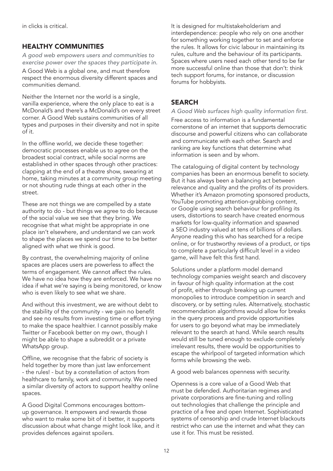### HEALTHY COMMUNITIES

*A good web empowers users and communities to exercise power over the spaces they participate in.*

A Good Web is a global one, and must therefore respect the enormous diversity different spaces and communities demand.

Neither the Internet nor the world is a single, vanilla experience, where the only place to eat is a McDonald's and there's a McDonald's on every street corner. A Good Web sustains communities of all types and purposes in their diversity and not in spite of it.

In the offline world, we decide these together: democratic processes enable us to agree on the broadest social contract, while social norms are established in other spaces through other practices: clapping at the end of a theatre show, swearing at home, taking minutes at a community group meeting or not shouting rude things at each other in the street.

These are not things we are compelled by a state authority to do - but things we agree to do because of the social value we see that they bring. We recognise that what might be appropriate in one place isn't elsewhere, and understand we can work to shape the places we spend our time to be better aligned with what we think is good.

By contrast, the overwhelming majority of online spaces are places users are powerless to affect the terms of engagement. We cannot affect the rules. We have no idea how they are enforced. We have no idea if what we're saying is being monitored, or know who is even likely to see what we share.

And without this investment, we are without debt to the stability of the community - we gain no benefit and see no results from investing time or effort trying to make the space healthier. I cannot possibly make Twitter or Facebook better on my own, though I might be able to shape a subreddit or a private WhatsApp group.

Offline, we recognise that the fabric of society is held together by more than just law enforcement - the rules! - but by a constellation of actors from healthcare to family, work and community. We need a similar diversity of actors to support healthy online spaces.

A Good Digital Commons encourages bottomup governance. It empowers and rewards those who want to make some bit of it better, it supports discussion about what change might look like, and it provides defences against spoilers.

It is designed for multistakeholderism and interdependence: people who rely on one another for something working together to set and enforce the rules. It allows for civic labour in maintaining its rules, culture and the behaviour of its participants. Spaces where users need each other tend to be far more successful online than those that don't: think tech support forums, for instance, or discussion forums for hobbyists.

### SEARCH

### A Good Web surfaces high quality information first.

Free access to information is a fundamental cornerstone of an internet that supports democratic discourse and powerful citizens who can collaborate and communicate with each other. Search and ranking are key functions that determine what information is seen and by whom.

The cataloguing of digital content by technology companies has been an enormous benefit to society. But it has always been a balancing act between relevance and quality and the profits of its providers. Whether it's Amazon promoting sponsored products, YouTube promoting attention-grabbing content, or Google using search behaviour for profiling its users, distortions to search have created enormous markets for low-quality information and spawned a SEO industry valued at tens of billions of dollars. Anyone reading this who has searched for a recipe online, or for trustworthy reviews of a product, or tips to complete a particularly difficult level in a video game, will have felt this first hand.

Solutions under a platform model demand technology companies weight search and discovery in favour of high quality information at the cost of profit, either through breaking up current monopolies to introduce competition in search and discovery, or by setting rules. Alternatively, stochastic recommendation algorithms would allow for breaks in the query process and provide opportunities for users to go beyond what may be immediately relevant to the search at hand. While search results would still be tuned enough to exclude completely irrelevant results, there would be opportunities to escape the whirlpool of targeted information which forms while browsing the web.

A good web balances openness with security.

Openness is a core value of a Good Web that must be defended. Authoritarian regimes and private corporations are fine-tuning and rolling out technologies that challenge the principle and practice of a free and open Internet. Sophisticated systems of censorship and crude Internet blackouts restrict who can use the internet and what they can use it for. This must be resisted.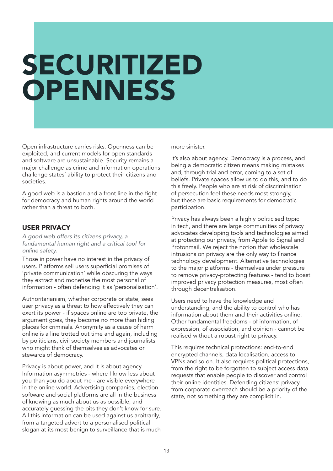### <span id="page-12-0"></span>SECURITIZED **OPENNESS**

Open infrastructure carries risks. Openness can be exploited, and current models for open standards and software are unsustainable. Security remains a major challenge as crime and information operations challenge states' ability to protect their citizens and societies.

A good web is a bastion and a front line in the fight for democracy and human rights around the world rather than a threat to both.

### USER PRIVACY

*A good web offers its citizens privacy, a fundamental human right and a critical tool for online safety.*

Those in power have no interest in the privacy of users. Platforms sell users superficial promises of 'private communication' while obscuring the ways they extract and monetise the most personal of information - often defending it as 'personalisation'.

Authoritarianism, whether corporate or state, sees user privacy as a threat to how effectively they can exert its power - if spaces online are too private, the argument goes, they become no more than hiding places for criminals. Anonymity as a cause of harm online is a line trotted out time and again, including by politicians, civil society members and journalists who might think of themselves as advocates or stewards of democracy.

Privacy is about power, and it is about agency. Information asymmetries - where I know less about you than you do about me - are visible everywhere in the online world. Advertising companies, election software and social platforms are all in the business of knowing as much about us as possible, and accurately guessing the bits they don't know for sure. All this information can be used against us arbitrarily, from a targeted advert to a personalised political slogan at its most benign to surveillance that is much

more sinister.

It's also about agency. Democracy is a process, and being a democratic citizen means making mistakes and, through trial and error, coming to a set of beliefs. Private spaces allow us to do this, and to do this freely. People who are at risk of discrimination of persecution feel these needs most strongly, but these are basic requirements for democratic participation.

Privacy has always been a highly politicised topic in tech, and there are large communities of privacy advocates developing tools and technologies aimed at protecting our privacy, from Apple to Signal and Protonmail. We reject the notion that wholescale intrusions on privacy are the only way to finance technology development. Alternative technologies to the major platforms - themselves under pressure to remove privacy-protecting features - tend to boast improved privacy protection measures, most often through decentralisation.

Users need to have the knowledge and understanding, and the ability to control who has information about them and their activities online. Other fundamental freedoms - of information, of expression, of association, and opinion - cannot be realised without a robust right to privacy.

This requires technical protections: end-to-end encrypted channels, data localisation, access to VPNs and so on. It also requires political protections, from the right to be forgotten to subject access data requests that enable people to discover and control their online identities. Defending citizens' privacy from corporate overreach should be a priority of the state, not something they are complicit in.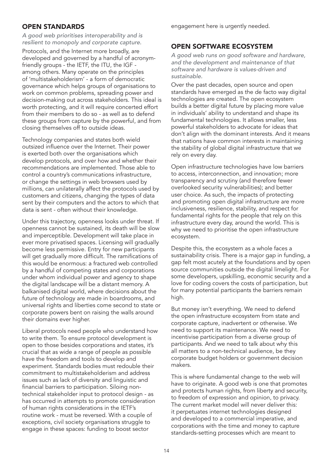### OPEN STANDARDS

*A good web prioritises interoperability and is resilient to monopoly and corporate capture.*

Protocols, and the Internet more broadly, are developed and governed by a handful of acronymfriendly groups - the IETF, the ITU, the IGF among others. Many operate on the principles of 'multistakeholderism' - a form of democratic governance which helps groups of organisations to work on common problems, spreading power and decision-making out across stakeholders. This ideal is worth protecting, and it will require concerted effort from their members to do so - as well as to defend these groups from capture by the powerful, and from closing themselves off to outside ideas.

Technology companies and states both wield outsized influence over the Internet. Their power is exerted both over the organisations which develop protocols, and over how and whether their recommendations are implemented. Those able to control a country's communications infrastructure, or change the settings in web browsers used by millions, can unilaterally affect the protocols used by customers and citizens, changing the types of data sent by their computers and the actors to which that data is sent - often without their knowledge.

Under this trajectory, openness looks under threat. If openness cannot be sustained, its death will be slow and imperceptible. Development will take place in ever more privatised spaces. Licensing will gradually become less permissive. Entry for new participants will get gradually more difficult. The ramifications of this would be enormous: a fractured web controlled by a handful of competing states and corporations under whom individual power and agency to shape the digital landscape will be a distant memory. A balkanised digital world, where decisions about the future of technology are made in boardrooms, and universal rights and liberties come second to state or corporate powers bent on raising the walls around their domains ever higher.

Liberal protocols need people who understand how to write them. To ensure protocol development is open to those besides corporations and states, it's crucial that as wide a range of people as possible have the freedom and tools to develop and experiment. Standards bodies must redouble their commitment to multistakeholderism and address issues such as lack of diversity and linguistic and financial barriers to participation. Siloing nontechnical stakeholder input to protocol design - as has occurred in attempts to promote consideration of human rights considerations in the IETF's routine work - must be reversed. With a couple of exceptions, civil society organisations struggle to engage in these spaces: funding to boost sector

engagement here is urgently needed.

### OPEN SOFTWARE ECOSYSTEM

*A good web runs on good software and hardware, and the development and maintenance of that software and hardware is values-driven and sustainable.*

Over the past decades, open source and open standards have emerged as the de facto way digital technologies are created. The open ecosystem builds a better digital future by placing more value in individuals' ability to understand and shape its fundamental technologies. It allows smaller, less powerful stakeholders to advocate for ideas that don't align with the dominant interests. And it means that nations have common interests in maintaining the stability of global digital infrastructure that we rely on every day.

Open infrastructure technologies have low barriers to access, interconnection, and innovation; more transparency and scrutiny (and therefore fewer overlooked security vulnerabilities); and better user choice. As such, the impacts of protecting and promoting open digital infrastructure are more inclusiveness, resilience, stability, and respect for fundamental rights for the people that rely on this infrastructure every day, around the world. This is why we need to prioritise the open infrastructure ecosystem.

Despite this, the ecosystem as a whole faces a sustainability crisis. There is a major gap in funding, a gap felt most acutely at the foundations and by open source communities outside the digital limelight. For some developers, upskilling, economic security and a love for coding covers the costs of participation, but for many potential participants the barriers remain high.

But money isn't everything. We need to defend the open infrastructure ecosystem from state and corporate capture, inadvertent or otherwise. We need to support its maintenance. We need to incentivise participation from a diverse group of participants. And we need to talk about why this all matters to a non-technical audience, be they corporate budget holders or government decision makers.

This is where fundamental change to the web will have to originate. A good web is one that promotes and protects human rights, from liberty and security, to freedom of expression and opinion, to privacy. The current market model will never deliver this: it perpetuates internet technologies designed and developed to a commercial imperative, and corporations with the time and money to capture standards-setting processes which are meant to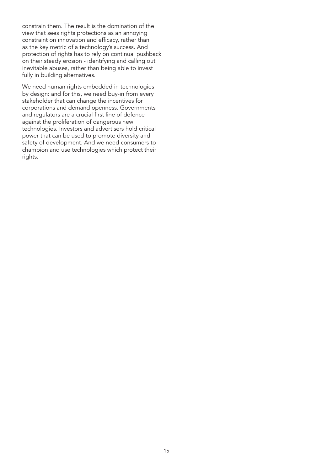constrain them. The result is the domination of the view that sees rights protections as an annoying constraint on innovation and efficacy, rather than as the key metric of a technology's success. And protection of rights has to rely on continual pushback on their steady erosion - identifying and calling out inevitable abuses, rather than being able to invest fully in building alternatives.

We need human rights embedded in technologies by design: and for this, we need buy-in from every stakeholder that can change the incentives for corporations and demand openness. Governments and regulators are a crucial first line of defence against the proliferation of dangerous new technologies. Investors and advertisers hold critical power that can be used to promote diversity and safety of development. And we need consumers to champion and use technologies which protect their rights.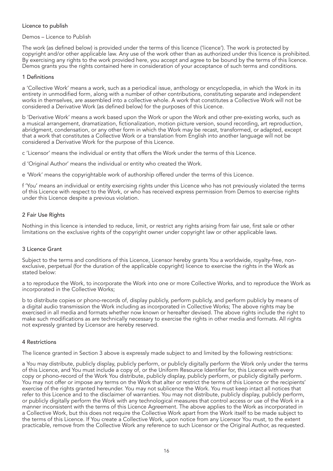### Licence to publish

#### Demos – Licence to Publish

The work (as defined below) is provided under the terms of this licence ('licence'). The work is protected by copyright and/or other applicable law. Any use of the work other than as authorized under this licence is prohibited. By exercising any rights to the work provided here, you accept and agree to be bound by the terms of this licence. Demos grants you the rights contained here in consideration of your acceptance of such terms and conditions.

#### 1 Definitions

a 'Collective Work' means a work, such as a periodical issue, anthology or encyclopedia, in which the Work in its entirety in unmodified form, along with a number of other contributions, constituting separate and independent works in themselves, are assembled into a collective whole. A work that constitutes a Collective Work will not be considered a Derivative Work (as defined below) for the purposes of this Licence.

b 'Derivative Work' means a work based upon the Work or upon the Work and other pre-existing works, such as a musical arrangement, dramatization, fictionalization, motion picture version, sound recording, art reproduction, abridgment, condensation, or any other form in which the Work may be recast, transformed, or adapted, except that a work that constitutes a Collective Work or a translation from English into another language will not be considered a Derivative Work for the purpose of this Licence.

c 'Licensor' means the individual or entity that offers the Work under the terms of this Licence.

d 'Original Author' means the individual or entity who created the Work.

e 'Work' means the copyrightable work of authorship offered under the terms of this Licence.

f 'You' means an individual or entity exercising rights under this Licence who has not previously violated the terms of this Licence with respect to the Work, or who has received express permission from Demos to exercise rights under this Licence despite a previous violation.

### 2 Fair Use Rights

Nothing in this licence is intended to reduce, limit, or restrict any rights arising from fair use, first sale or other limitations on the exclusive rights of the copyright owner under copyright law or other applicable laws.

### 3 Licence Grant

Subject to the terms and conditions of this Licence, Licensor hereby grants You a worldwide, royalty-free, nonexclusive, perpetual (for the duration of the applicable copyright) licence to exercise the rights in the Work as stated below:

a to reproduce the Work, to incorporate the Work into one or more Collective Works, and to reproduce the Work as incorporated in the Collective Works;

b to distribute copies or phono-records of, display publicly, perform publicly, and perform publicly by means of a digital audio transmission the Work including as incorporated in Collective Works; The above rights may be exercised in all media and formats whether now known or hereafter devised. The above rights include the right to make such modifications as are technically necessary to exercise the rights in other media and formats. All rights not expressly granted by Licensor are hereby reserved.

### 4 Restrictions

The licence granted in Section 3 above is expressly made subject to and limited by the following restrictions:

a You may distribute, publicly display, publicly perform, or publicly digitally perform the Work only under the terms of this Licence, and You must include a copy of, or the Uniform Resource Identifier for, this Licence with every copy or phono-record of the Work You distribute, publicly display, publicly perform, or publicly digitally perform. You may not offer or impose any terms on the Work that alter or restrict the terms of this Licence or the recipients' exercise of the rights granted hereunder. You may not sublicence the Work. You must keep intact all notices that refer to this Licence and to the disclaimer of warranties. You may not distribute, publicly display, publicly perform, or publicly digitally perform the Work with any technological measures that control access or use of the Work in a manner inconsistent with the terms of this Licence Agreement. The above applies to the Work as incorporated in a Collective Work, but this does not require the Collective Work apart from the Work itself to be made subject to the terms of this Licence. If You create a Collective Work, upon notice from any Licensor You must, to the extent practicable, remove from the Collective Work any reference to such Licensor or the Original Author, as requested.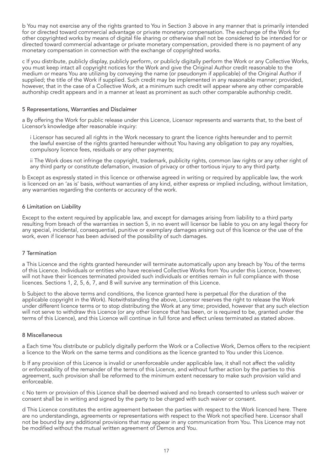b You may not exercise any of the rights granted to You in Section 3 above in any manner that is primarily intended for or directed toward commercial advantage or private monetary compensation. The exchange of the Work for other copyrighted works by means of digital file sharing or otherwise shall not be considered to be intended for or directed toward commercial advantage or private monetary compensation, provided there is no payment of any monetary compensation in connection with the exchange of copyrighted works.

c If you distribute, publicly display, publicly perform, or publicly digitally perform the Work or any Collective Works, you must keep intact all copyright notices for the Work and give the Original Author credit reasonable to the medium or means You are utilizing by conveying the name (or pseudonym if applicable) of the Original Author if supplied; the title of the Work if supplied. Such credit may be implemented in any reasonable manner; provided, however, that in the case of a Collective Work, at a minimum such credit will appear where any other comparable authorship credit appears and in a manner at least as prominent as such other comparable authorship credit.

#### 5 Representations, Warranties and Disclaimer

a By offering the Work for public release under this Licence, Licensor represents and warrants that, to the best of Licensor's knowledge after reasonable inquiry:

i Licensor has secured all rights in the Work necessary to grant the licence rights hereunder and to permit the lawful exercise of the rights granted hereunder without You having any obligation to pay any royalties, compulsory licence fees, residuals or any other payments;

ii The Work does not infringe the copyright, trademark, publicity rights, common law rights or any other right of any third party or constitute defamation, invasion of privacy or other tortious injury to any third party.

b Except as expressly stated in this licence or otherwise agreed in writing or required by applicable law, the work is licenced on an 'as is' basis, without warranties of any kind, either express or implied including, without limitation, any warranties regarding the contents or accuracy of the work.

### 6 Limitation on Liability

Except to the extent required by applicable law, and except for damages arising from liability to a third party resulting from breach of the warranties in section 5, in no event will licensor be liable to you on any legal theory for any special, incidental, consequential, punitive or exemplary damages arising out of this licence or the use of the work, even if licensor has been advised of the possibility of such damages.

### 7 Termination

a This Licence and the rights granted hereunder will terminate automatically upon any breach by You of the terms of this Licence. Individuals or entities who have received Collective Works from You under this Licence, however, will not have their licences terminated provided such individuals or entities remain in full compliance with those licences. Sections 1, 2, 5, 6, 7, and 8 will survive any termination of this Licence.

b Subject to the above terms and conditions, the licence granted here is perpetual (for the duration of the applicable copyright in the Work). Notwithstanding the above, Licensor reserves the right to release the Work under different licence terms or to stop distributing the Work at any time; provided, however that any such election will not serve to withdraw this Licence (or any other licence that has been, or is required to be, granted under the terms of this Licence), and this Licence will continue in full force and effect unless terminated as stated above.

#### 8 Miscellaneous

a Each time You distribute or publicly digitally perform the Work or a Collective Work, Demos offers to the recipient a licence to the Work on the same terms and conditions as the licence granted to You under this Licence.

b If any provision of this Licence is invalid or unenforceable under applicable law, it shall not affect the validity or enforceability of the remainder of the terms of this Licence, and without further action by the parties to this agreement, such provision shall be reformed to the minimum extent necessary to make such provision valid and enforceable.

c No term or provision of this Licence shall be deemed waived and no breach consented to unless such waiver or consent shall be in writing and signed by the party to be charged with such waiver or consent.

d This Licence constitutes the entire agreement between the parties with respect to the Work licenced here. There are no understandings, agreements or representations with respect to the Work not specified here. Licensor shall not be bound by any additional provisions that may appear in any communication from You. This Licence may not be modified without the mutual written agreement of Demos and You.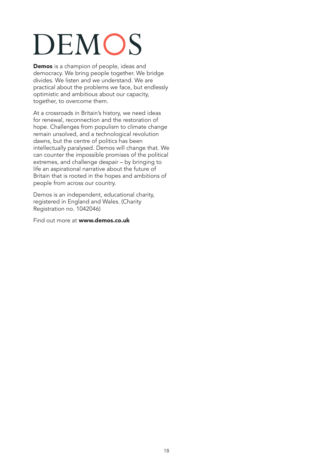# DEMOS

Demos is a champion of people, ideas and democracy. We bring people together. We bridge divides. We listen and we understand. We are practical about the problems we face, but endlessly optimistic and ambitious about our capacity, together, to overcome them.

At a crossroads in Britain's history, we need ideas for renewal, reconnection and the restoration of hope. Challenges from populism to climate change remain unsolved, and a technological revolution dawns, but the centre of politics has been intellectually paralysed. Demos will change that. We can counter the impossible promises of the political extremes, and challenge despair – by bringing to life an aspirational narrative about the future of Britain that is rooted in the hopes and ambitions of people from across our country.

Demos is an independent, educational charity, registered in England and Wales. (Charity Registration no. 1042046)

Find out more at **[www.demos.co.uk](http://www.demos.co.uk)**